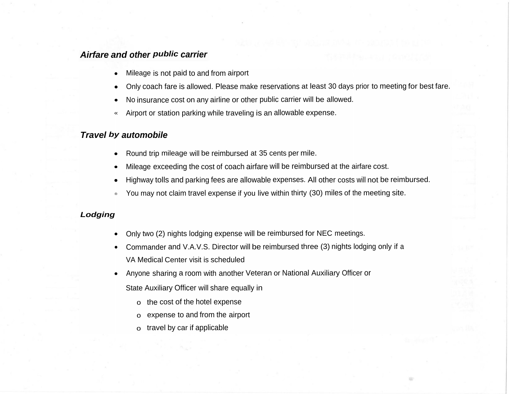### *Airfare and other public carrier*

- Mileage is not paid to and from airport
- Only coach fare is allowed. Please make reservations at least 30 days prior to meeting for best fare.
- No insurance cost on any airline or other public carrier will be allowed.
- « Airport or station parking while traveling is an allowable expense.

## *Travel by automobile*

- Round trip mileage will be reimbursed at <sup>35</sup> cents per mile.
- Mileage exceeding the cost of coach airfare will be reimbursed at the airfare cost.
- Highway tolls and parking fees are allowable expenses. All other costs will not be reimbursed.
- ® You may not claim travel expense if you live within thirty (30) miles of the meeting site.

#### *Lodging*

- Only two (2) nights lodging expense will be reimbursed for NEC meetings.
- Commander and V.A.V.S. Director will be reimbursed three (3) nights lodging only if <sup>a</sup> VA Medical Center visit is scheduled
- Anyone sharing <sup>a</sup> room with another Veteran or National Auxiliary Officer or
	- State Auxiliary Officer will share equally in
		- o the cost of the hotel expense
		- o expense to and from the airport
		- o travel by car if applicable